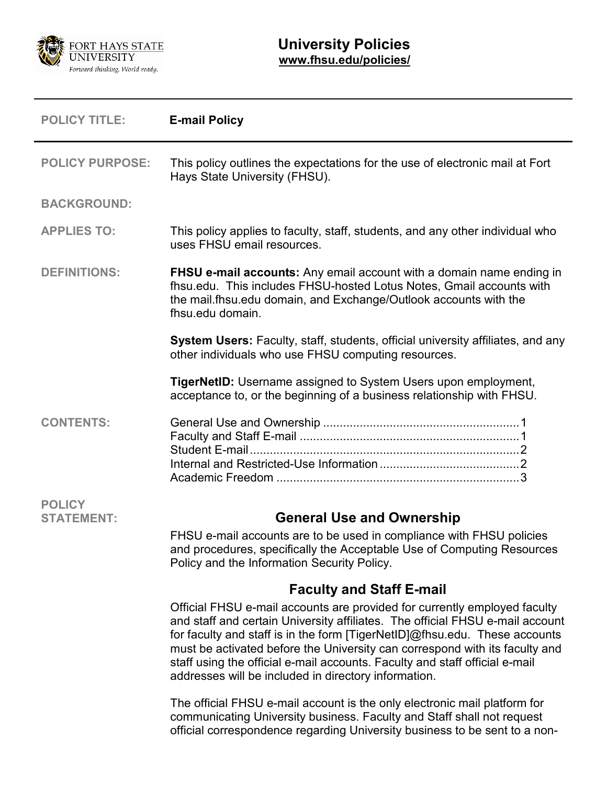

<span id="page-0-1"></span><span id="page-0-0"></span>

| <b>POLICY TITLE:</b>               | <b>E-mail Policy</b>                                                                                                                                                                                                                                                                                                                                                                                                                                           |
|------------------------------------|----------------------------------------------------------------------------------------------------------------------------------------------------------------------------------------------------------------------------------------------------------------------------------------------------------------------------------------------------------------------------------------------------------------------------------------------------------------|
| <b>POLICY PURPOSE:</b>             | This policy outlines the expectations for the use of electronic mail at Fort<br>Hays State University (FHSU).                                                                                                                                                                                                                                                                                                                                                  |
| <b>BACKGROUND:</b>                 |                                                                                                                                                                                                                                                                                                                                                                                                                                                                |
| <b>APPLIES TO:</b>                 | This policy applies to faculty, staff, students, and any other individual who<br>uses FHSU email resources.                                                                                                                                                                                                                                                                                                                                                    |
| <b>DEFINITIONS:</b>                | <b>FHSU e-mail accounts:</b> Any email account with a domain name ending in<br>fhsu.edu. This includes FHSU-hosted Lotus Notes, Gmail accounts with<br>the mail.fhsu.edu domain, and Exchange/Outlook accounts with the<br>fhsu.edu domain.                                                                                                                                                                                                                    |
|                                    | System Users: Faculty, staff, students, official university affiliates, and any<br>other individuals who use FHSU computing resources.                                                                                                                                                                                                                                                                                                                         |
|                                    | <b>TigerNetID:</b> Username assigned to System Users upon employment,<br>acceptance to, or the beginning of a business relationship with FHSU.                                                                                                                                                                                                                                                                                                                 |
| <b>CONTENTS:</b>                   |                                                                                                                                                                                                                                                                                                                                                                                                                                                                |
| <b>POLICY</b><br><b>STATEMENT:</b> | <b>General Use and Ownership</b>                                                                                                                                                                                                                                                                                                                                                                                                                               |
|                                    | FHSU e-mail accounts are to be used in compliance with FHSU policies<br>and procedures, specifically the Acceptable Use of Computing Resources<br>Policy and the Information Security Policy.                                                                                                                                                                                                                                                                  |
|                                    | <b>Faculty and Staff E-mail</b>                                                                                                                                                                                                                                                                                                                                                                                                                                |
|                                    | Official FHSU e-mail accounts are provided for currently employed faculty<br>and staff and certain University affiliates. The official FHSU e-mail account<br>for faculty and staff is in the form [TigerNetID]@fhsu.edu. These accounts<br>must be activated before the University can correspond with its faculty and<br>staff using the official e-mail accounts. Faculty and staff official e-mail<br>addresses will be included in directory information. |
|                                    | The official FHSU e-mail account is the only electronic mail platform for<br>communicating University business. Faculty and Staff shall not request<br>official correspondence regarding University business to be sent to a non-                                                                                                                                                                                                                              |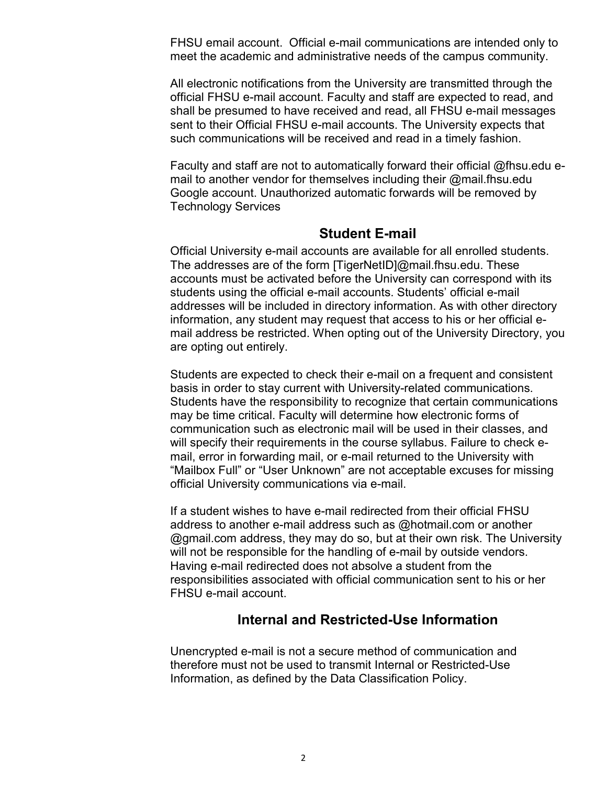FHSU email account. Official e-mail communications are intended only to meet the academic and administrative needs of the campus community.

All electronic notifications from the University are transmitted through the official FHSU e-mail account. Faculty and staff are expected to read, and shall be presumed to have received and read, all FHSU e-mail messages sent to their Official FHSU e-mail accounts. The University expects that such communications will be received and read in a timely fashion.

Faculty and staff are not to automatically forward their official @fhsu.edu email to another vendor for themselves including their @mail.fhsu.edu Google account. Unauthorized automatic forwards will be removed by Technology Services

## **Student E-mail**

<span id="page-1-0"></span>Official University e-mail accounts are available for all enrolled students. The addresses are of the form [TigerNetID]@mail.fhsu.edu. These accounts must be activated before the University can correspond with its students using the official e-mail accounts. Students' official e-mail addresses will be included in directory information. As with other directory information, any student may request that access to his or her official email address be restricted. When opting out of the University Directory, you are opting out entirely.

Students are expected to check their e-mail on a frequent and consistent basis in order to stay current with University-related communications. Students have the responsibility to recognize that certain communications may be time critical. Faculty will determine how electronic forms of communication such as electronic mail will be used in their classes, and will specify their requirements in the course syllabus. Failure to check email, error in forwarding mail, or e-mail returned to the University with "Mailbox Full" or "User Unknown" are not acceptable excuses for missing official University communications via e-mail.

If a student wishes to have e-mail redirected from their official FHSU address to another e-mail address such as @hotmail.com or another @gmail.com address, they may do so, but at their own risk. The University will not be responsible for the handling of e-mail by outside vendors. Having e-mail redirected does not absolve a student from the responsibilities associated with official communication sent to his or her FHSU e-mail account.

## **Internal and Restricted-Use Information**

<span id="page-1-1"></span>Unencrypted e-mail is not a secure method of communication and therefore must not be used to transmit Internal or Restricted-Use Information, as defined by the Data Classification Policy.